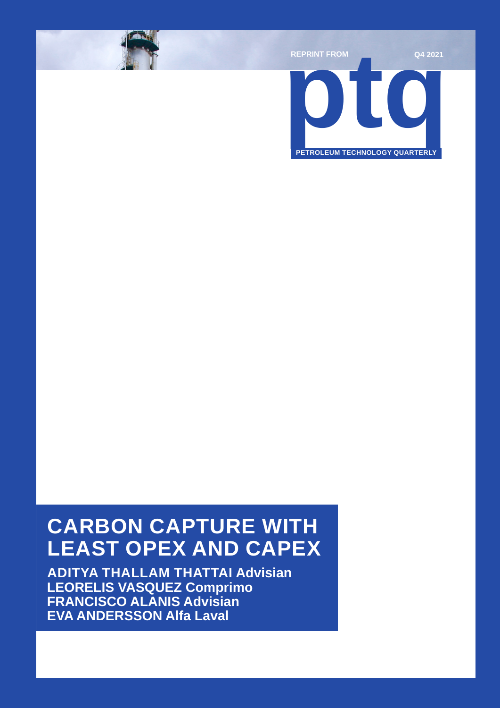

## **CARBON CAPTURE WITH LEAST OPEX AND CAPEX**

**ADITYA THALLAM THATTAI Advisian LEORELIS VASQUEZ Comprimo FRANCISCO ALANIS Advisian EVA ANDERSSON Alfa Laval**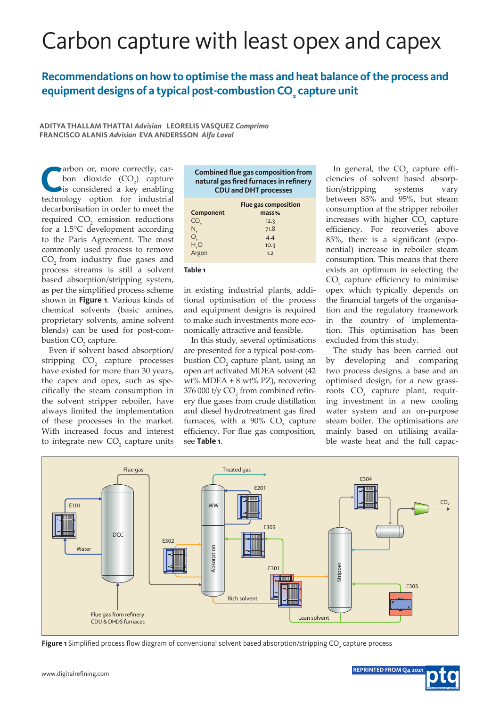# Carbon capture with least opex and capex

### **Recommendations on how to optimise the mass and heat balance of the process and equipment designs of a typical post-combustion CO2 capture unit**

**ADITYA THALLAM THATTAI** *Advisian* **LEORELIS VASQUEZ** *Comprimo* **FRANCISCO ALANIS** *Advisian* **EVA ANDERSSON** *Alfa Laval*

arbon or, more correctly, carbon dioxide  $(CO_2)$  capture is considered a key enabling technology option for industrial decarbonisation in order to meet the required  $CO<sub>2</sub>$  emission reductions for a 1.5°C development according to the Paris Agreement. The most commonly used process to remove CO<sub>2</sub> from industry flue gases and process streams is still a solvent based absorption/stripping system, as per the simplified process scheme shown in **Figure 1**. Various kinds of chemical solvents (basic amines, proprietary solvents, amine solvent blends) can be used for post-combustion  $CO_2$  capture.

Even if solvent based absorption/ stripping CO<sub>2</sub> capture processes have existed for more than 30 years, the capex and opex, such as specifically the steam consumption in the solvent stripper reboiler, have always limited the implementation of these processes in the market. With increased focus and interest to integrate new  $CO<sub>2</sub>$  capture units

|                                        | <b>Combined flue gas composition from</b> |  |
|----------------------------------------|-------------------------------------------|--|
| natural gas fired furnaces in refinery |                                           |  |
| <b>CDU and DHT processes</b>           |                                           |  |
|                                        | <b>Flue gas composition</b>               |  |
| Component                              | mass%                                     |  |
|                                        | 122                                       |  |

| CO <sub>2</sub>   | 12.3 |  |
|-------------------|------|--|
| $N_{2}$           | 71.8 |  |
| $O_{\frac{1}{2}}$ | 4.4  |  |
| $H_2$ O           | 10.3 |  |
| Argon             | 1.2  |  |
|                   |      |  |

#### **Table 1**

in existing industrial plants, additional optimisation of the process and equipment designs is required to make such investments more economically attractive and feasible.

In this study, several optimisations are presented for a typical post-combustion  $CO_2$  capture plant, using an open art activated MDEA solvent (42 wt% MDEA + 8 wt% PZ), recovering 376 000 t/y  $\text{CO}_2$  from combined refinery flue gases from crude distillation and diesel hydrotreatment gas fired furnaces, with a  $90\%$  CO<sub>2</sub> capture efficiency. For flue gas composition, see **Table 1**.

In general, the  $CO<sub>2</sub>$  capture efficiencies of solvent based absorption/stripping systems vary between 85% and 95%, but steam consumption at the stripper reboiler increases with higher  $CO<sub>2</sub>$  capture efficiency. For recoveries above 85%, there is a significant (exponential) increase in reboiler steam consumption. This means that there exists an optimum in selecting the  $CO<sub>2</sub>$  capture efficiency to minimise opex which typically depends on the financial targets of the organisation and the regulatory framework in the country of implementation. This optimisation has been excluded from this study.

The study has been carried out by developing and comparing two process designs, a base and an optimised design, for a new grassroots CO<sub>2</sub> capture plant, requiring investment in a new cooling water system and an on-purpose steam boiler. The optimisations are mainly based on utilising available waste heat and the full capac-



**Figure 1** Simplified process flow diagram of conventional solvent based absorption/stripping CO<sub>2</sub> capture process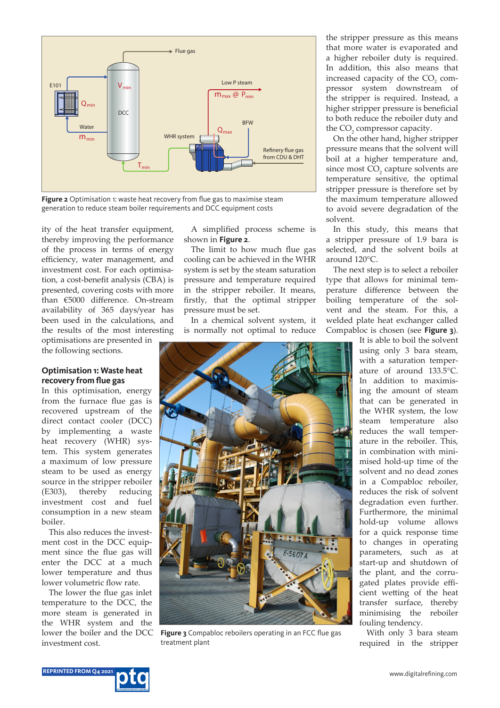

**Figure 2** Optimisation 1: waste heat recovery from flue gas to maximise steam generation to reduce steam boiler requirements and DCC equipment costs

ity of the heat transfer equipment, thereby improving the performance of the process in terms of energy efficiency, water management, and investment cost. For each optimisation, a cost-benefit analysis (CBA) is presented, covering costs with more than €5000 difference. On-stream availability of 365 days/year has been used in the calculations, and the results of the most interesting

optimisations are presented in the following sections.

#### **Optimisation 1: Waste heat recovery from flue gas**

In this optimisation, energy from the furnace flue gas is recovered upstream of the direct contact cooler (DCC) by implementing a waste heat recovery (WHR) system. This system generates a maximum of low pressure steam to be used as energy source in the stripper reboiler (E303), thereby reducing investment cost and fuel consumption in a new steam boiler.

This also reduces the investment cost in the DCC equipment since the flue gas will enter the DCC at a much lower temperature and thus lower volumetric flow rate.

The lower the flue gas inlet temperature to the DCC, the more steam is generated in the WHR system and the lower the boiler and the DCC investment cost.

A simplified process scheme is shown in **Figure 2**.

The limit to how much flue gas cooling can be achieved in the WHR system is set by the steam saturation pressure and temperature required in the stripper reboiler. It means, firstly, that the optimal stripper pressure must be set.

In a chemical solvent system, it is normally not optimal to reduce



**Figure 3** Compabloc reboilers operating in an FCC flue gas treatment plant

the stripper pressure as this means that more water is evaporated and a higher reboiler duty is required. In addition, this also means that increased capacity of the  $CO<sub>2</sub>$  compressor system downstream of the stripper is required. Instead, a higher stripper pressure is beneficial to both reduce the reboiler duty and the  $CO<sub>2</sub>$  compressor capacity.

On the other hand, higher stripper pressure means that the solvent will boil at a higher temperature and, since most  $CO<sub>2</sub>$  capture solvents are temperature sensitive, the optimal stripper pressure is therefore set by the maximum temperature allowed to avoid severe degradation of the solvent.

In this study, this means that a stripper pressure of 1.9 bara is selected, and the solvent boils at around 120°C.

The next step is to select a reboiler type that allows for minimal temperature difference between the boiling temperature of the solvent and the steam. For this, a welded plate heat exchanger called Compabloc is chosen (see **Figure 3**).

It is able to boil the solvent using only 3 bara steam, with a saturation temperature of around 133.5°C. In addition to maximising the amount of steam that can be generated in the WHR system, the low steam temperature also reduces the wall temperature in the reboiler. This, in combination with minimised hold-up time of the solvent and no dead zones in a Compabloc reboiler, reduces the risk of solvent degradation even further. Furthermore, the minimal hold-up volume allows for a quick response time to changes in operating parameters, such as at start-up and shutdown of the plant, and the corrugated plates provide efficient wetting of the heat transfer surface, thereby minimising the reboiler fouling tendency.

With only 3 bara steam required in the stripper

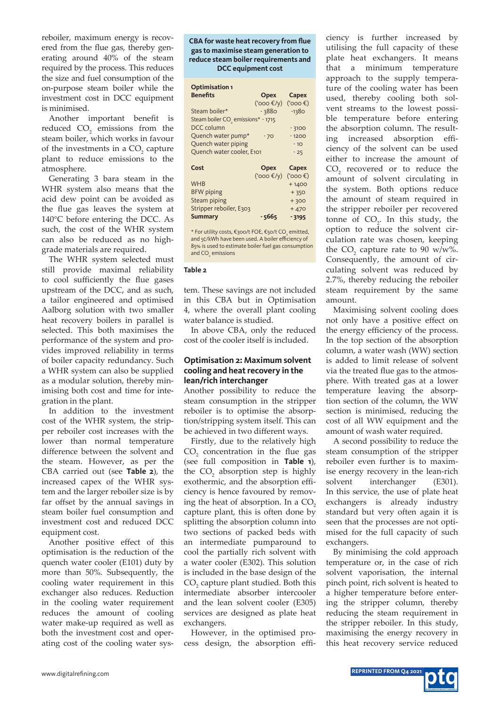reboiler, maximum energy is recovered from the flue gas, thereby generating around 40% of the steam required by the process. This reduces the size and fuel consumption of the on-purpose steam boiler while the investment cost in DCC equipment is minimised.

Another important benefit is reduced  $CO<sub>2</sub>$  emissions from the steam boiler, which works in favour of the investments in a  $CO<sub>2</sub>$  capture plant to reduce emissions to the atmosphere.

Generating 3 bara steam in the WHR system also means that the acid dew point can be avoided as the flue gas leaves the system at 140°C before entering the DCC. As such, the cost of the WHR system can also be reduced as no highgrade materials are required.

The WHR system selected must still provide maximal reliability to cool sufficiently the flue gases upstream of the DCC, and as such, a tailor engineered and optimised Aalborg solution with two smaller heat recovery boilers in parallel is selected. This both maximises the performance of the system and provides improved reliability in terms of boiler capacity redundancy. Such a WHR system can also be supplied as a modular solution, thereby minimising both cost and time for integration in the plant.

In addition to the investment cost of the WHR system, the stripper reboiler cost increases with the lower than normal temperature difference between the solvent and the steam. However, as per the CBA carried out (see **Table 2**), the increased capex of the WHR system and the larger reboiler size is by far offset by the annual savings in steam boiler fuel consumption and investment cost and reduced DCC equipment cost.

Another positive effect of this optimisation is the reduction of the quench water cooler (E101) duty by more than 50%. Subsequently, the cooling water requirement in this exchanger also reduces. Reduction in the cooling water requirement reduces the amount of cooling water make-up required as well as both the investment cost and operating cost of the cooling water sys-

#### **CBA for waste heat recovery from flue gas to maximise steam generation to reduce steam boiler requirements and DCC equipment cost**

| <b>Optimisation 1</b>                          |              |              |
|------------------------------------------------|--------------|--------------|
| <b>Benefits</b>                                | <b>Opex</b>  | Capex        |
|                                                | ('000 $f(y)$ | (3000)       |
| Steam boiler*                                  | - 3880       | $-1380$      |
| Steam boiler CO <sub>2</sub> emissions* - 1715 |              |              |
| DCC column                                     |              | $-3100$      |
| Quench water pump*                             | $-70$        | $-1200$      |
| Quench water piping                            |              | $-10$        |
| Quench water cooler, E101                      |              | $-25$        |
|                                                |              |              |
| Cost                                           | Opex         | <b>Capex</b> |
|                                                | ('000 $f(y)$ | (3000)       |
| <b>WHB</b>                                     |              | $+1400$      |
| <b>BFW</b> piping                              |              | $+350$       |
| Steam piping                                   |              | $+300$       |
| Stripper reboiler, E303                        |              | $+470$       |
| <b>Summary</b>                                 | - 5665       | $-3195$      |

\* For utility costs, €300/t FOE, €50/t CO $_{_2}$  emitted, and 5¢/kWh have been used. A boiler efficiency of 85% is used to estimate boiler fuel gas consumption and  $CO<sub>2</sub>$  emissions

#### **Table 2**

tem. These savings are not included in this CBA but in Optimisation 4, where the overall plant cooling water balance is studied.

In above CBA, only the reduced cost of the cooler itself is included.

#### **Optimisation 2: Maximum solvent cooling and heat recovery in the lean/rich interchanger**

Another possibility to reduce the steam consumption in the stripper reboiler is to optimise the absorption/stripping system itself. This can be achieved in two different ways.

Firstly, due to the relatively high  $CO<sub>2</sub>$  concentration in the flue gas (see full composition in **Table 1**), the  $CO<sub>2</sub>$  absorption step is highly exothermic, and the absorption efficiency is hence favoured by removing the heat of absorption. In a  $CO<sub>2</sub>$ capture plant, this is often done by splitting the absorption column into two sections of packed beds with an intermediate pumparound to cool the partially rich solvent with a water cooler (E302). This solution is included in the base design of the  $CO<sub>2</sub>$  capture plant studied. Both this intermediate absorber intercooler and the lean solvent cooler (E305) services are designed as plate heat exchangers.

However, in the optimised process design, the absorption effi-

ciency is further increased by utilising the full capacity of these plate heat exchangers. It means that a minimum temperature approach to the supply temperature of the cooling water has been used, thereby cooling both solvent streams to the lowest possible temperature before entering the absorption column. The resulting increased absorption efficiency of the solvent can be used either to increase the amount of  $CO<sub>2</sub>$  recovered or to reduce the amount of solvent circulating in the system. Both options reduce the amount of steam required in the stripper reboiler per recovered tonne of  $CO<sub>2</sub>$ . In this study, the option to reduce the solvent circulation rate was chosen, keeping the  $CO_2$  capture rate to 90 w/w%. Consequently, the amount of circulating solvent was reduced by 2.7%, thereby reducing the reboiler steam requirement by the same amount.

Maximising solvent cooling does not only have a positive effect on the energy efficiency of the process. In the top section of the absorption column, a water wash (WW) section is added to limit release of solvent via the treated flue gas to the atmosphere. With treated gas at a lower temperature leaving the absorption section of the column, the WW section is minimised, reducing the cost of all WW equipment and the amount of wash water required.

A second possibility to reduce the steam consumption of the stripper reboiler even further is to maximise energy recovery in the lean-rich solvent interchanger (E301). In this service, the use of plate heat exchangers is already industry standard but very often again it is seen that the processes are not optimised for the full capacity of such exchangers.

By minimising the cold approach temperature or, in the case of rich solvent vaporisation, the internal pinch point, rich solvent is heated to a higher temperature before entering the stripper column, thereby reducing the steam requirement in the stripper reboiler. In this study, maximising the energy recovery in this heat recovery service reduced

**REPRINTED FROM Q4 2021 REPRINTED FROM Q4 2021** www.digitalrefining.com www.digitalrefining.com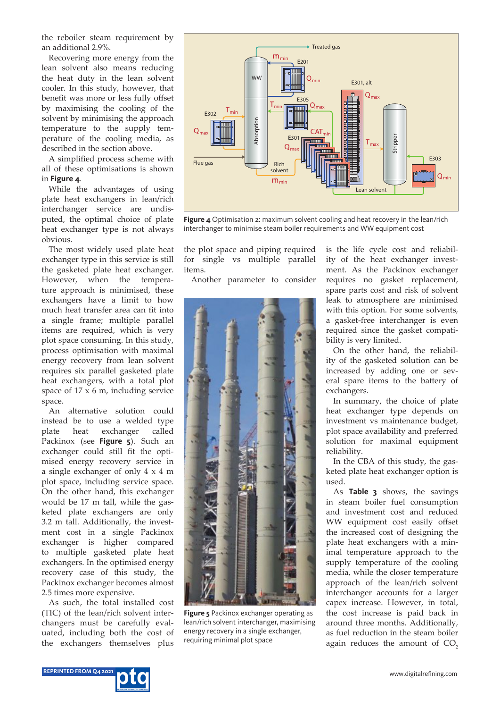the reboiler steam requirement by an additional 2.9%.

Recovering more energy from the lean solvent also means reducing the heat duty in the lean solvent cooler. In this study, however, that benefit was more or less fully offset by maximising the cooling of the solvent by minimising the approach temperature to the supply temperature of the cooling media, as described in the section above.

A simplified process scheme with all of these optimisations is shown in **Figure 4**.

While the advantages of using plate heat exchangers in lean/rich interchanger service are undisputed, the optimal choice of plate heat exchanger type is not always obvious.

The most widely used plate heat exchanger type in this service is still the gasketed plate heat exchanger. However, when the temperature approach is minimised, these exchangers have a limit to how much heat transfer area can fit into a single frame; multiple parallel items are required, which is very plot space consuming. In this study, process optimisation with maximal energy recovery from lean solvent requires six parallel gasketed plate heat exchangers, with a total plot space of  $17 \times 6$  m, including service space.

An alternative solution could instead be to use a welded type plate heat exchanger called Packinox (see **Figure 5**). Such an exchanger could still fit the optimised energy recovery service in a single exchanger of only 4 x 4 m plot space, including service space. On the other hand, this exchanger would be 17 m tall, while the gasketed plate exchangers are only 3.2 m tall. Additionally, the investment cost in a single Packinox exchanger is higher compared to multiple gasketed plate heat exchangers. In the optimised energy recovery case of this study, the Packinox exchanger becomes almost 2.5 times more expensive.

As such, the total installed cost (TIC) of the lean/rich solvent interchangers must be carefully evaluated, including both the cost of the exchangers themselves plus



**Figure 4** Optimisation 2: maximum solvent cooling and heat recovery in the lean/rich interchanger to minimise steam boiler requirements and WW equipment cost

the plot space and piping required for single vs multiple parallel items.

Another parameter to consider



**Figure 5** Packinox exchanger operating as lean/rich solvent interchanger, maximising energy recovery in a single exchanger, requiring minimal plot space

is the life cycle cost and reliability of the heat exchanger investment. As the Packinox exchanger requires no gasket replacement, spare parts cost and risk of solvent leak to atmosphere are minimised with this option. For some solvents, a gasket-free interchanger is even required since the gasket compatibility is very limited.

On the other hand, the reliability of the gasketed solution can be increased by adding one or several spare items to the battery of exchangers.

In summary, the choice of plate heat exchanger type depends on investment vs maintenance budget, plot space availability and preferred solution for maximal equipment reliability.

In the CBA of this study, the gasketed plate heat exchanger option is used.

As **Table 3** shows, the savings in steam boiler fuel consumption and investment cost and reduced WW equipment cost easily offset the increased cost of designing the plate heat exchangers with a minimal temperature approach to the supply temperature of the cooling media, while the closer temperature approach of the lean/rich solvent interchanger accounts for a larger capex increase. However, in total, the cost increase is paid back in around three months. Additionally, as fuel reduction in the steam boiler again reduces the amount of  $CO<sub>2</sub>$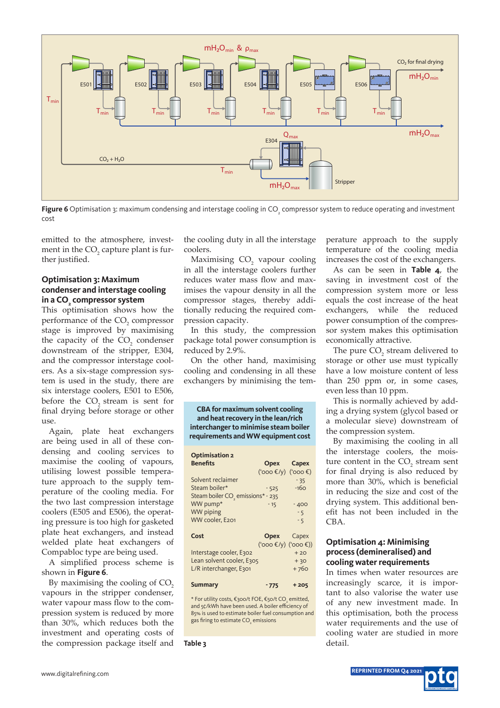

**Figure 6** Optimisation 3: maximum condensing and interstage cooling in CO<sub>2</sub> compressor system to reduce operating and investment cost

emitted to the atmosphere, investment in the  $\mathrm{CO}_2^{}$  capture plant is further justified.

#### **Optimisation 3: Maximum condenser and interstage cooling in a CO2 compressor system**

This optimisation shows how the performance of the CO<sub>2</sub> compressor stage is improved by maximising the capacity of the  $CO<sub>2</sub>$  condenser downstream of the stripper, E304, and the compressor interstage coolers. As a six-stage compression system is used in the study, there are six interstage coolers, E501 to E506, before the CO<sub>2</sub> stream is sent for final drying before storage or other  $11S<sub>P</sub>$ 

Again, plate heat exchangers are being used in all of these condensing and cooling services to maximise the cooling of vapours, utilising lowest possible temperature approach to the supply temperature of the cooling media. For the two last compression interstage coolers (E505 and E506), the operating pressure is too high for gasketed plate heat exchangers, and instead welded plate heat exchangers of Compabloc type are being used.

A simplified process scheme is shown in **Figure 6**.

By maximising the cooling of CO<sub>2</sub> vapours in the stripper condenser, water vapour mass flow to the compression system is reduced by more than 30%, which reduces both the investment and operating costs of the compression package itself and

the cooling duty in all the interstage coolers.

Maximising CO<sub>2</sub> vapour cooling in all the interstage coolers further reduces water mass flow and maximises the vapour density in all the compressor stages, thereby additionally reducing the required compression capacity.

In this study, the compression package total power consumption is reduced by 2.9%.

On the other hand, maximising cooling and condensing in all these exchangers by minimising the tem-

**CBA for maximum solvent cooling and heat recovery in the lean/rich interchanger to minimise steam boiler requirements and WW equipment cost**

| <b>Optimisation 2</b>                         |                                                |            |
|-----------------------------------------------|------------------------------------------------|------------|
| <b>Benefits</b>                               |                                                | Opex Capex |
|                                               | $(300)$ (V) $(400)$                            |            |
| Solvent reclaimer                             |                                                | $-35$      |
| Steam boiler*                                 | $-525$                                         | $-160$     |
| Steam boiler CO <sub>2</sub> emissions* - 235 |                                                |            |
| WW pump*                                      | $-15$                                          | $-400$     |
| <b>WW piping</b>                              |                                                | $-5$       |
| WW cooler, E201                               |                                                | $-5$       |
| Cost                                          | <b>Opex</b> Capex                              |            |
|                                               | $('000 \t\mathcal{E}/y) ('000 \t\mathcal{E}))$ |            |
| Interstage cooler, E302                       |                                                | $+20$      |
| Lean solvent cooler, E305                     |                                                | $+30$      |
| L/R interchanger, E301                        |                                                | $+760$     |
|                                               |                                                |            |
| <b>Summary</b>                                | $-775$                                         | $+205$     |

\* For utility costs, €300/t FOE, €50/t CO $_{_2}$  emitted, and 5¢/kWh have been used. A boiler efficiency of 85% is used to estimate boiler fuel consumption and gas firing to estimate CO<sub>2</sub> emissions

**Table 3**

perature approach to the supply temperature of the cooling media increases the cost of the exchangers.

As can be seen in **Table 4**, the saving in investment cost of the compression system more or less equals the cost increase of the heat exchangers, while the reduced power consumption of the compressor system makes this optimisation economically attractive.

The pure  $CO<sub>2</sub>$  stream delivered to storage or other use must typically have a low moisture content of less than 250 ppm or, in some cases, even less than 10 ppm.

This is normally achieved by adding a drying system (glycol based or a molecular sieve) downstream of the compression system.

By maximising the cooling in all the interstage coolers, the moisture content in the  $CO<sub>2</sub>$  stream sent for final drying is also reduced by more than 30%, which is beneficial in reducing the size and cost of the drying system. This additional benefit has not been included in the CBA.

#### **Optimisation 4: Minimising process (demineralised) and cooling water requirements**

In times when water resources are increasingly scarce, it is important to also valorise the water use of any new investment made. In this optimisation, both the process water requirements and the use of cooling water are studied in more detail.

**REPRINTED FROM Q4 2021 REPRINTED FROM Q4 2021** www.digitalrefining.com www.digitalrefining.com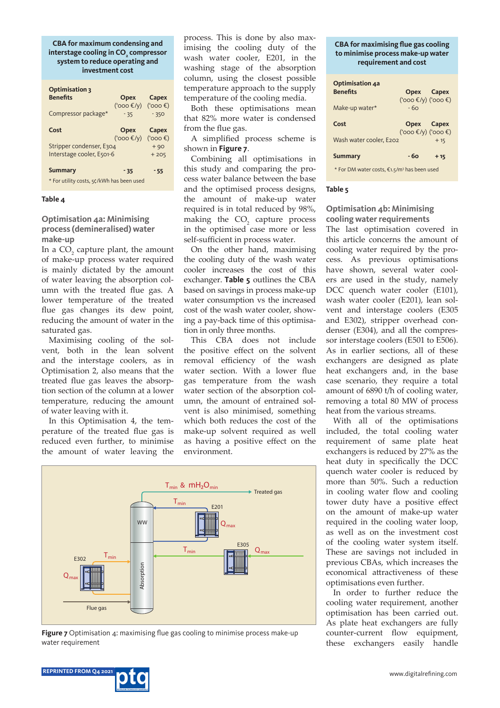**CBA for maximum condensing and interstage cooling in CO2 compressor system to reduce operating and investment cost** 

| <b>Optimisation 3</b><br><b>Benefits</b>                    | <b>Opex</b>                       | Capex           |
|-------------------------------------------------------------|-----------------------------------|-----------------|
| Compressor package*                                         | $(3000)$ $(1)$ $(1)3000$<br>$-35$ | $-350$          |
| Cost                                                        | Opex<br>$(3000)$ $(1)$ $(1)3000$  | Capex           |
| Stripper condenser, E304<br>Interstage cooler, E501-6       |                                   | $+90$<br>$+205$ |
| <b>Summary</b><br>* For utility costs, 5¢/kWh has been used | $-35$                             | $-55$           |

#### **Table 4**

**Optimisation 4a: Minimising process (demineralised) water make-up**

In a  $CO<sub>2</sub>$  capture plant, the amount of make-up process water required is mainly dictated by the amount of water leaving the absorption column with the treated flue gas. A lower temperature of the treated flue gas changes its dew point, reducing the amount of water in the saturated gas.

Maximising cooling of the solvent, both in the lean solvent and the interstage coolers, as in Optimisation 2, also means that the treated flue gas leaves the absorption section of the column at a lower temperature, reducing the amount of water leaving with it.

In this Optimisation 4, the temperature of the treated flue gas is reduced even further, to minimise the amount of water leaving the

process. This is done by also maximising the cooling duty of the wash water cooler, E201, in the washing stage of the absorption column, using the closest possible temperature approach to the supply temperature of the cooling media.

Both these optimisations mean that 82% more water is condensed from the flue gas.

A simplified process scheme is shown in **Figure 7**.

Combining all optimisations in this study and comparing the process water balance between the base and the optimised process designs, the amount of make-up water required is in total reduced by 98%, making the  $CO<sub>2</sub>$  capture process in the optimised case more or less self-sufficient in process water.

On the other hand, maximising the cooling duty of the wash water cooler increases the cost of this exchanger. **Table 5** outlines the CBA based on savings in process make-up water consumption vs the increased cost of the wash water cooler, showing a pay-back time of this optimisation in only three months.

This CBA does not include the positive effect on the solvent removal efficiency of the wash water section. With a lower flue gas temperature from the wash water section of the absorption column, the amount of entrained solvent is also minimised, something which both reduces the cost of the make-up solvent required as well as having a positive effect on the environment.



**Figure 7** Optimisation 4: maximising flue gas cooling to minimise process make-up water requirement

#### **CBA for maximising flue gas cooling to minimise process make-up water requirement and cost**

| Optimisation 4a<br><b>Benefits</b><br>Make-up water*                                       | Opex Capex<br>$(300)$ (V) $(400)$<br>$-60$               |       |  |
|--------------------------------------------------------------------------------------------|----------------------------------------------------------|-------|--|
| Cost<br>Wash water cooler, E202                                                            | Opex Capex<br>$(900 \text{ (by)}$ ('000 $\text{ (by)}$ ) | $+15$ |  |
| - 60<br><b>Summary</b><br>$+15$<br>* For DM water costs, €1.5/m <sup>3</sup> has been used |                                                          |       |  |

#### **Table 5**

#### **Optimisation 4b: Minimising cooling water requirements**

The last optimisation covered in this article concerns the amount of cooling water required by the process. As previous optimisations have shown, several water coolers are used in the study, namely DCC quench water cooler (E101), wash water cooler (E201), lean solvent and interstage coolers (E305 and E302), stripper overhead condenser (E304), and all the compressor interstage coolers (E501 to E506). As in earlier sections, all of these exchangers are designed as plate heat exchangers and, in the base case scenario, they require a total amount of 6890 t/h of cooling water, removing a total 80 MW of process heat from the various streams.

With all of the optimisations included, the total cooling water requirement of same plate heat exchangers is reduced by 27% as the heat duty in specifically the DCC quench water cooler is reduced by more than 50%. Such a reduction in cooling water flow and cooling tower duty have a positive effect on the amount of make-up water required in the cooling water loop, as well as on the investment cost of the cooling water system itself. These are savings not included in previous CBAs, which increases the economical attractiveness of these optimisations even further.

In order to further reduce the cooling water requirement, another optimisation has been carried out. As plate heat exchangers are fully counter-current flow equipment, these exchangers easily handle

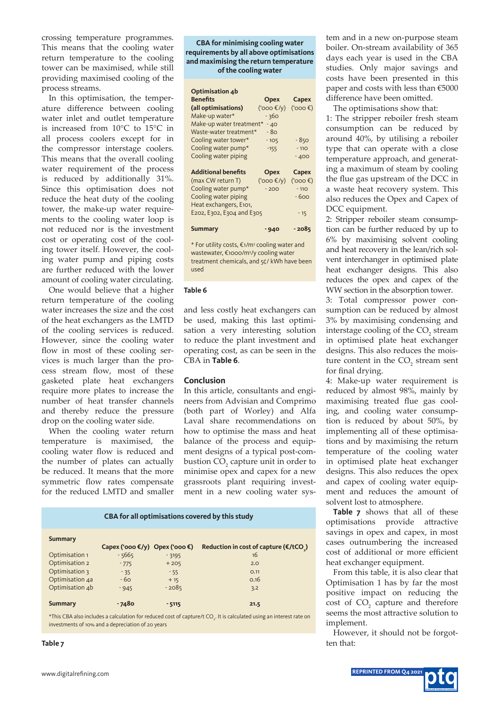crossing temperature programmes. This means that the cooling water return temperature to the cooling tower can be maximised, while still providing maximised cooling of the process streams.

In this optimisation, the temperature difference between cooling water inlet and outlet temperature is increased from 10°C to 15°C in all process coolers except for in the compressor interstage coolers. This means that the overall cooling water requirement of the process is reduced by additionally 31%. Since this optimisation does not reduce the heat duty of the cooling tower, the make-up water requirements to the cooling water loop is not reduced nor is the investment cost or operating cost of the cooling tower itself. However, the cooling water pump and piping costs are further reduced with the lower amount of cooling water circulating.

One would believe that a higher return temperature of the cooling water increases the size and the cost of the heat exchangers as the LMTD of the cooling services is reduced. However, since the cooling water flow in most of these cooling services is much larger than the process stream flow, most of these gasketed plate heat exchangers require more plates to increase the number of heat transfer channels and thereby reduce the pressure drop on the cooling water side.

When the cooling water return temperature is maximised, the cooling water flow is reduced and the number of plates can actually be reduced. It means that the more symmetric flow rates compensate for the reduced LMTD and smaller

#### **CBA for minimising cooling water requirements by all above optimisations and maximising the return temperature of the cooling water**

| Optimisation 4b            |                       |        |
|----------------------------|-----------------------|--------|
| <b>Benefits</b>            | <b>Opex</b>           | Capex  |
| (all optimisations)        | (' $000 \text{E/y}$ ) | (3000) |
| Make-up water*             | $-360$                |        |
| Make-up water treatment*   | $-40$                 |        |
| Waste-water treatment*     | - 80                  |        |
| Cooling water tower*       | $-105$                | $-850$ |
| Cooling water pump*        | $-155$                | $-110$ |
| Cooling water piping       |                       | $-400$ |
|                            |                       |        |
| <b>Additional benefits</b> | <b>Opex</b>           | Capex  |
| (max CW return T)          | (' $000 \text{E/y}$ ) | (3000) |
| Cooling water pump*        | $-200$                | $-110$ |
| Cooling water piping       |                       | $-600$ |
| Heat exchangers, E101,     |                       |        |
| E202, E302, E304 and E305  |                       | $-15$  |
|                            |                       |        |
| <b>Summary</b>             | $-940$                | - 2085 |

\* For utility costs, €1/m<sup>3</sup> cooling water and wastewater, €1000/m<sup>3</sup> /y cooling water treatment chemicals, and 5¢/ kWh have been used

#### **Table 6**

and less costly heat exchangers can be used, making this last optimisation a very interesting solution to reduce the plant investment and operating cost, as can be seen in the CBA in **Table 6**.

#### **Conclusion**

In this article, consultants and engineers from Advisian and Comprimo (both part of Worley) and Alfa Laval share recommendations on how to optimise the mass and heat balance of the process and equipment designs of a typical post-combustion  $CO<sub>2</sub>$  capture unit in order to minimise opex and capex for a new grassroots plant requiring investment in a new cooling water sys-

| CBA for all optimisations covered by this study |                                          |         |                                         |
|-------------------------------------------------|------------------------------------------|---------|-----------------------------------------|
| <b>Summary</b>                                  | Capex (' $oo \in (y)$ Opex (' $oo \in$ ) |         | Reduction in cost of capture $(E/ tCO)$ |
| Optimisation 1                                  | $-5665$                                  | $-3195$ | 16                                      |
| Optimisation 2                                  | $-775$                                   | $+205$  | 2.0                                     |
| Optimisation 3                                  | $-35$                                    | $-55$   | O.11                                    |
| Optimisation 4a                                 | $-60$                                    | $+15$   | O.16                                    |
| Optimisation 4b                                 | $-945$                                   | $-2085$ | 3.2                                     |
| <b>Summary</b>                                  | - 7480                                   | $-5115$ | 21.5                                    |

\*This CBA also includes a calculation for reduced cost of capture/t CO<sub>2</sub>. It is calculated using an interest rate on investments of 10% and a depreciation of 20 years

#### **Table 7**

tem and in a new on-purpose steam boiler. On-stream availability of 365 days each year is used in the CBA studies. Only major savings and costs have been presented in this paper and costs with less than €5000 difference have been omitted.

The optimisations show that:

1: The stripper reboiler fresh steam consumption can be reduced by around 40%, by utilising a reboiler type that can operate with a close temperature approach, and generating a maximum of steam by cooling the flue gas upstream of the DCC in a waste heat recovery system. This also reduces the Opex and Capex of DCC equipment.

2: Stripper reboiler steam consumption can be further reduced by up to 6% by maximising solvent cooling and heat recovery in the lean/rich solvent interchanger in optimised plate heat exchanger designs. This also reduces the opex and capex of the WW section in the absorption tower.

3: Total compressor power consumption can be reduced by almost 3% by maximising condensing and interstage cooling of the  $CO<sub>2</sub>$  stream in optimised plate heat exchanger designs. This also reduces the moisture content in the  $CO<sub>2</sub>$  stream sent for final drying.

4: Make-up water requirement is reduced by almost 98%, mainly by maximising treated flue gas cooling, and cooling water consumption is reduced by about 50%, by implementing all of these optimisations and by maximising the return temperature of the cooling water in optimised plate heat exchanger designs. This also reduces the opex and capex of cooling water equipment and reduces the amount of solvent lost to atmosphere.

**Table 7** shows that all of these optimisations provide attractive savings in opex and capex, in most cases outnumbering the increased cost of additional or more efficient heat exchanger equipment.

From this table, it is also clear that Optimisation 1 has by far the most positive impact on reducing the  $\cos t$  of  $CO<sub>2</sub>$  capture and therefore seems the most attractive solution to implement.

However, it should not be forgotten that: